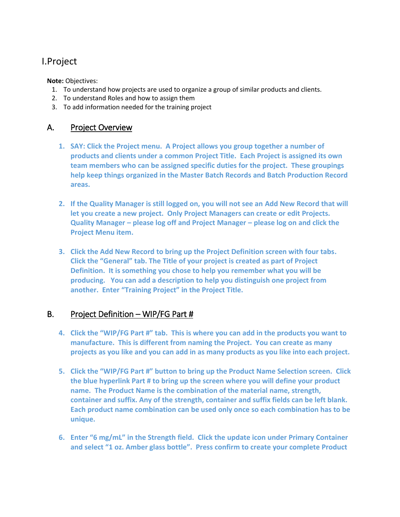# I.Project

**Note:** Objectives:

- 1. To understand how projects are used to organize a group of similar products and clients.
- 2. To understand Roles and how to assign them
- 3. To add information needed for the training project

## A. Project Overview

- **1. SAY: Click the Project menu. A Project allows you group together a number of products and clients under a common Project Title. Each Project is assigned its own team members who can be assigned specific duties for the project. These groupings help keep things organized in the Master Batch Records and Batch Production Record areas.**
- **2. If the Quality Manager is still logged on, you will not see an Add New Record that will let you create a new project. Only Project Managers can create or edit Projects. Quality Manager – please log off and Project Manager – please log on and click the Project Menu item.**
- **3. Click the Add New Record to bring up the Project Definition screen with four tabs. Click the "General" tab. The Title of your project is created as part of Project Definition. It is something you chose to help you remember what you will be producing. You can add a description to help you distinguish one project from another. Enter "Training Project" in the Project Title.**

# B. Project Definition – WIP/FG Part #

- **4. Click the "WIP/FG Part #" tab. This is where you can add in the products you want to manufacture. This is different from naming the Project. You can create as many projects as you like and you can add in as many products as you like into each project.**
- **5. Click the "WIP/FG Part #" button to bring up the Product Name Selection screen. Click the blue hyperlink Part # to bring up the screen where you will define your product name. The Product Name is the combination of the material name, strength, container and suffix. Any of the strength, container and suffix fields can be left blank. Each product name combination can be used only once so each combination has to be unique.**
- **6. Enter "6 mg/mL" in the Strength field. Click the update icon under Primary Container and select "1 oz. Amber glass bottle". Press confirm to create your complete Product**